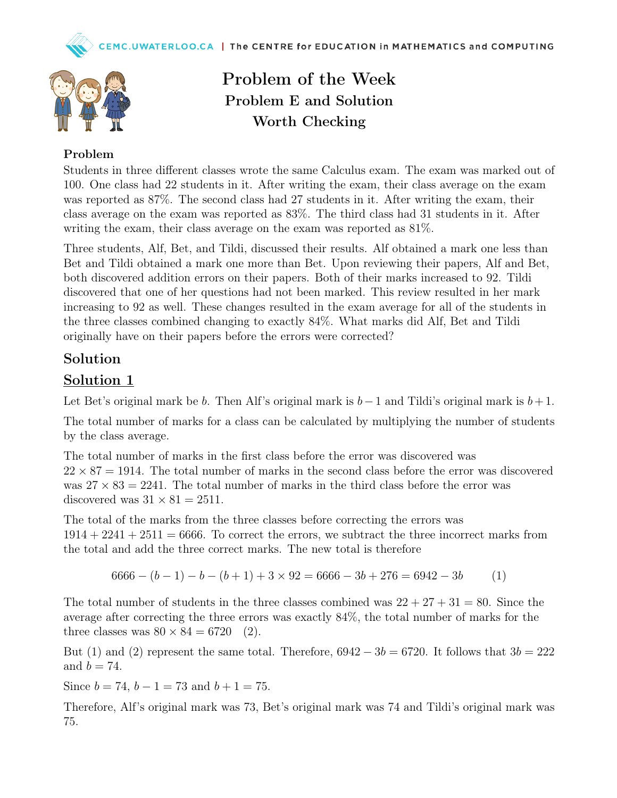Problem of the Week

Problem E and Solution

Worth Checking



## Problem

Students in three different classes wrote the same Calculus exam. The exam was marked out of 100. One class had 22 students in it. After writing the exam, their class average on the exam was reported as 87%. The second class had 27 students in it. After writing the exam, their class average on the exam was reported as 83%. The third class had 31 students in it. After writing the exam, their class average on the exam was reported as 81%.

Three students, Alf, Bet, and Tildi, discussed their results. Alf obtained a mark one less than Bet and Tildi obtained a mark one more than Bet. Upon reviewing their papers, Alf and Bet, both discovered addition errors on their papers. Both of their marks increased to 92. Tildi discovered that one of her questions had not been marked. This review resulted in her mark increasing to 92 as well. These changes resulted in the exam average for all of the students in the three classes combined changing to exactly 84%. What marks did Alf, Bet and Tildi originally have on their papers before the errors were corrected?

## Solution

## Solution 1

Let Bet's original mark be b. Then Alf's original mark is  $b-1$  and Tildi's original mark is  $b+1$ .

The total number of marks for a class can be calculated by multiplying the number of students by the class average.

The total number of marks in the first class before the error was discovered was  $22 \times 87 = 1914$ . The total number of marks in the second class before the error was discovered was  $27 \times 83 = 2241$ . The total number of marks in the third class before the error was discovered was  $31 \times 81 = 2511$ .

The total of the marks from the three classes before correcting the errors was  $1914 + 2241 + 2511 = 6666$ . To correct the errors, we subtract the three incorrect marks from the total and add the three correct marks. The new total is therefore

 $6666 - (b - 1) - b - (b + 1) + 3 \times 92 = 6666 - 3b + 276 = 6942 - 3b$  (1)

The total number of students in the three classes combined was  $22 + 27 + 31 = 80$ . Since the average after correcting the three errors was exactly 84%, the total number of marks for the three classes was  $80 \times 84 = 6720$  (2).

But (1) and (2) represent the same total. Therefore,  $6942 - 3b = 6720$ . It follows that  $3b = 222$ and  $b = 74$ .

Since  $b = 74$ ,  $b - 1 = 73$  and  $b + 1 = 75$ .

Therefore, Alf's original mark was 73, Bet's original mark was 74 and Tildi's original mark was 75.